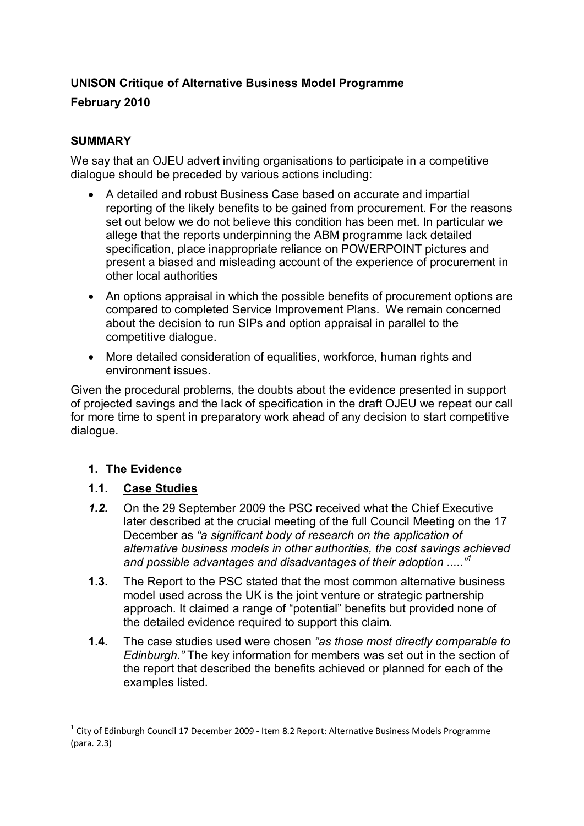# **UNISON Critique of Alternative Business Model Programme**

# **February 2010**

# **SUMMARY**

We say that an OJEU advert inviting organisations to participate in a competitive dialogue should be preceded by various actions including:

- A detailed and robust Business Case based on accurate and impartial reporting of the likely benefits to be gained from procurement. For the reasons set out below we do not believe this condition has been met. In particular we allege that the reports underpinning the ABM programme lack detailed specification, place inappropriate reliance on POWERPOINT pictures and present a biased and misleading account of the experience of procurement in other local authorities
- An options appraisal in which the possible benefits of procurement options are compared to completed Service Improvement Plans. We remain concerned about the decision to run SIPs and option appraisal in parallel to the competitive dialogue.
- More detailed consideration of equalities, workforce, human rights and environment issues.

Given the procedural problems, the doubts about the evidence presented in support of projected savings and the lack of specification in the draft OJEU we repeat our call for more time to spent in preparatory work ahead of any decision to start competitive dialogue.

# **1. The Evidence**

 $\overline{a}$ 

# **1.1. Case Studies**

- *1.2.* On the 29 September 2009 the PSC received what the Chief Executive later described at the crucial meeting of the full Council Meeting on the 17 December as *"a significant body of research on the application of alternative business models in other authorities, the cost savings achieved and possible advantages and disadvantages of their adoption ....."<sup>1</sup>*
- **1.3.** The Report to the PSC stated that the most common alternative business model used across the UK is the joint venture or strategic partnership approach. It claimed a range of "potential" benefits but provided none of the detailed evidence required to support this claim.
- **1.4.** The case studies used were chosen *"as those most directly comparable to Edinburgh."* The key information for members was set out in the section of the report that described the benefits achieved or planned for each of the examples listed.

 $1$  City of Edinburgh Council 17 December 2009 - Item 8.2 Report: Alternative Business Models Programme (para. 2.3)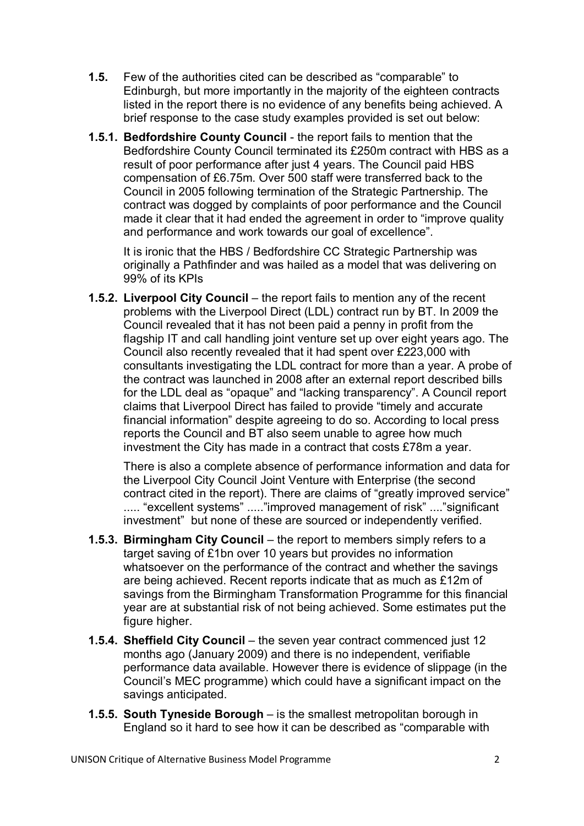- **1.5.** Few of the authorities cited can be described as "comparable" to Edinburgh, but more importantly in the majority of the eighteen contracts listed in the report there is no evidence of any benefits being achieved. A brief response to the case study examples provided is set out below:
- **1.5.1. Bedfordshire County Council**  the report fails to mention that the Bedfordshire County Council terminated its £250m contract with HBS as a result of poor performance after just 4 years. The Council paid HBS compensation of £6.75m. Over 500 staff were transferred back to the Council in 2005 following termination of the Strategic Partnership. The contract was dogged by complaints of poor performance and the Council made it clear that it had ended the agreement in order to "improve quality and performance and work towards our goal of excellence".

It is ironic that the HBS / Bedfordshire CC Strategic Partnership was originally a Pathfinder and was hailed as a model that was delivering on 99% of its KPIs

**1.5.2. Liverpool City Council** – the report fails to mention any of the recent problems with the Liverpool Direct (LDL) contract run by BT. In 2009 the Council revealed that it has not been paid a penny in profit from the flagship IT and call handling joint venture set up over eight years ago. The Council also recently revealed that it had spent over £223,000 with consultants investigating the LDL contract for more than a year. A probe of the contract was launched in 2008 after an external report described bills for the LDL deal as "opaque" and "lacking transparency". A Council report claims that Liverpool Direct has failed to provide "timely and accurate financial information" despite agreeing to do so. According to local press reports the Council and BT also seem unable to agree how much investment the City has made in a contract that costs £78m a year.

There is also a complete absence of performance information and data for the Liverpool City Council Joint Venture with Enterprise (the second contract cited in the report). There are claims of "greatly improved service" ..... "excellent systems" ..... "improved management of risk" .... "significant investment" but none of these are sourced or independently verified.

- **1.5.3. Birmingham City Council** the report to members simply refers to a target saving of £1bn over 10 years but provides no information whatsoever on the performance of the contract and whether the savings are being achieved. Recent reports indicate that as much as £12m of savings from the Birmingham Transformation Programme for this financial year are at substantial risk of not being achieved. Some estimates put the figure higher.
- **1.5.4. Sheffield City Council** the seven year contract commenced just 12 months ago (January 2009) and there is no independent, verifiable performance data available. However there is evidence of slippage (in the Council's MEC programme) which could have a significant impact on the savings anticipated.
- **1.5.5. South Tyneside Borough** is the smallest metropolitan borough in England so it hard to see how it can be described as "comparable with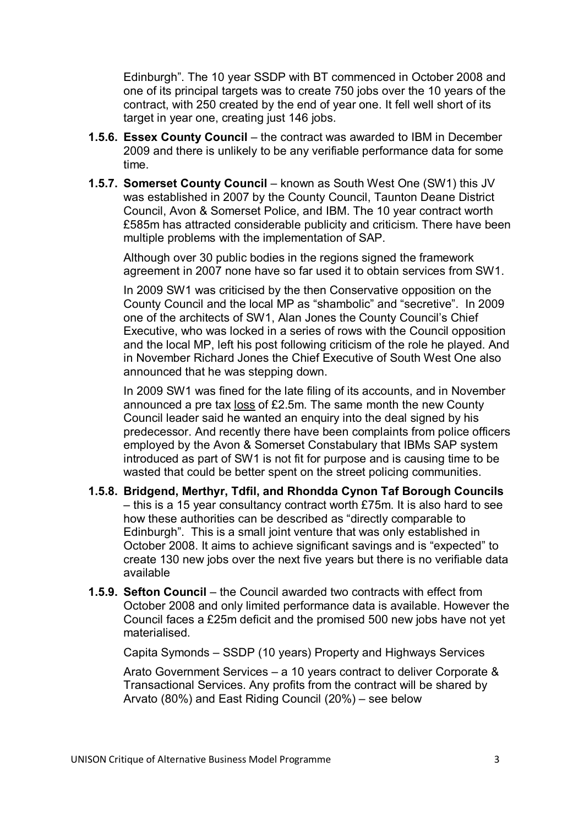Edinburgh". The 10 year SSDP with BT commenced in October 2008 and one of its principal targets was to create 750 jobs over the 10 years of the contract, with 250 created by the end of year one. It fell well short of its target in year one, creating just 146 jobs.

- **1.5.6. Essex County Council** the contract was awarded to IBM in December 2009 and there is unlikely to be any verifiable performance data for some time.
- **1.5.7. Somerset County Council** known as South West One (SW1) this JV was established in 2007 by the County Council, Taunton Deane District Council, Avon & Somerset Police, and IBM. The 10 year contract worth £585m has attracted considerable publicity and criticism. There have been multiple problems with the implementation of SAP.

Although over 30 public bodies in the regions signed the framework agreement in 2007 none have so far used it to obtain services from SW1.

In 2009 SW1 was criticised by the then Conservative opposition on the County Council and the local MP as "shambolic" and "secretive". In 2009 one of the architects of SW1, Alan Jones the County Council's Chief Executive, who was locked in a series of rows with the Council opposition and the local MP, left his post following criticism of the role he played. And in November Richard Jones the Chief Executive of South West One also announced that he was stepping down.

In 2009 SW1 was fined for the late filing of its accounts, and in November announced a pre tax loss of £2.5m. The same month the new County Council leader said he wanted an enquiry into the deal signed by his predecessor. And recently there have been complaints from police officers employed by the Avon & Somerset Constabulary that IBMs SAP system introduced as part of SW1 is not fit for purpose and is causing time to be wasted that could be better spent on the street policing communities.

- **1.5.8. Bridgend, Merthyr, Tdfil, and Rhondda Cynon Taf Borough Councils** – this is a 15 year consultancy contract worth £75m. It is also hard to see how these authorities can be described as "directly comparable to Edinburgh". This is a small joint venture that was only established in October 2008. It aims to achieve significant savings and is "expected" to create 130 new jobs over the next five years but there is no verifiable data available
- **1.5.9. Sefton Council** the Council awarded two contracts with effect from October 2008 and only limited performance data is available. However the Council faces a £25m deficit and the promised 500 new jobs have not yet materialised.

Capita Symonds – SSDP (10 years) Property and Highways Services

Arato Government Services – a 10 years contract to deliver Corporate & Transactional Services. Any profits from the contract will be shared by Arvato (80%) and East Riding Council (20%) – see below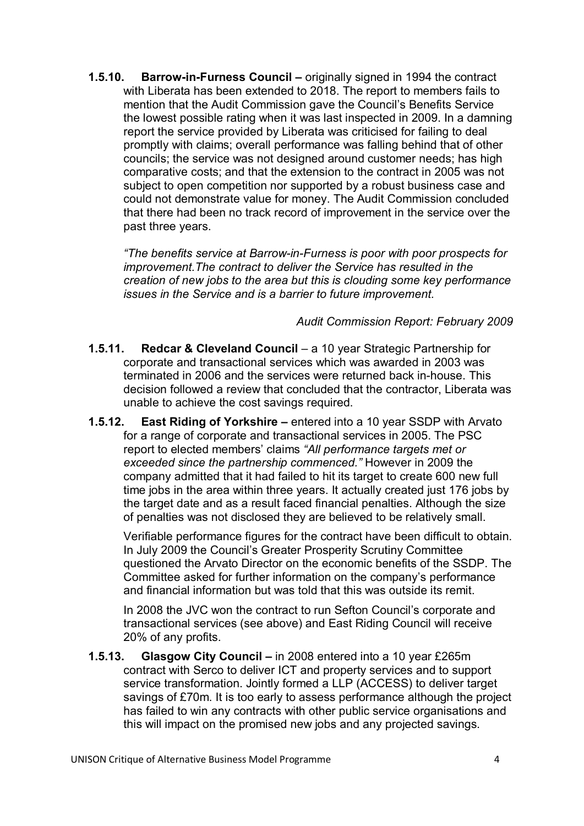**1.5.10. Barrow-in-Furness Council –** originally signed in 1994 the contract with Liberata has been extended to 2018. The report to members fails to mention that the Audit Commission gave the Council's Benefits Service the lowest possible rating when it was last inspected in 2009. In a damning report the service provided by Liberata was criticised for failing to deal promptly with claims; overall performance was falling behind that of other councils; the service was not designed around customer needs; has high comparative costs; and that the extension to the contract in 2005 was not subject to open competition nor supported by a robust business case and could not demonstrate value for money. The Audit Commission concluded that there had been no track record of improvement in the service over the past three years.

*"The benefits service at Barrow-in-Furness is poor with poor prospects for improvement.The contract to deliver the Service has resulted in the creation of new jobs to the area but this is clouding some key performance issues in the Service and is a barrier to future improvement.* 

### *Audit Commission Report: February 2009*

- **1.5.11. Redcar & Cleveland Council** a 10 year Strategic Partnership for corporate and transactional services which was awarded in 2003 was terminated in 2006 and the services were returned back in-house. This decision followed a review that concluded that the contractor, Liberata was unable to achieve the cost savings required.
- **1.5.12. East Riding of Yorkshire** entered into a 10 year SSDP with Arvato for a range of corporate and transactional services in 2005. The PSC report to elected members' claims *"All performance targets met or exceeded since the partnership commenced."* However in 2009 the company admitted that it had failed to hit its target to create 600 new full time jobs in the area within three years. It actually created just 176 jobs by the target date and as a result faced financial penalties. Although the size of penalties was not disclosed they are believed to be relatively small.

Verifiable performance figures for the contract have been difficult to obtain. In July 2009 the Council's Greater Prosperity Scrutiny Committee questioned the Arvato Director on the economic benefits of the SSDP. The Committee asked for further information on the company's performance and financial information but was told that this was outside its remit.

In 2008 the JVC won the contract to run Sefton Council's corporate and transactional services (see above) and East Riding Council will receive 20% of any profits.

**1.5.13. Glasgow City Council –** in 2008 entered into a 10 year £265m contract with Serco to deliver ICT and property services and to support service transformation. Jointly formed a LLP (ACCESS) to deliver target savings of £70m. It is too early to assess performance although the project has failed to win any contracts with other public service organisations and this will impact on the promised new jobs and any projected savings.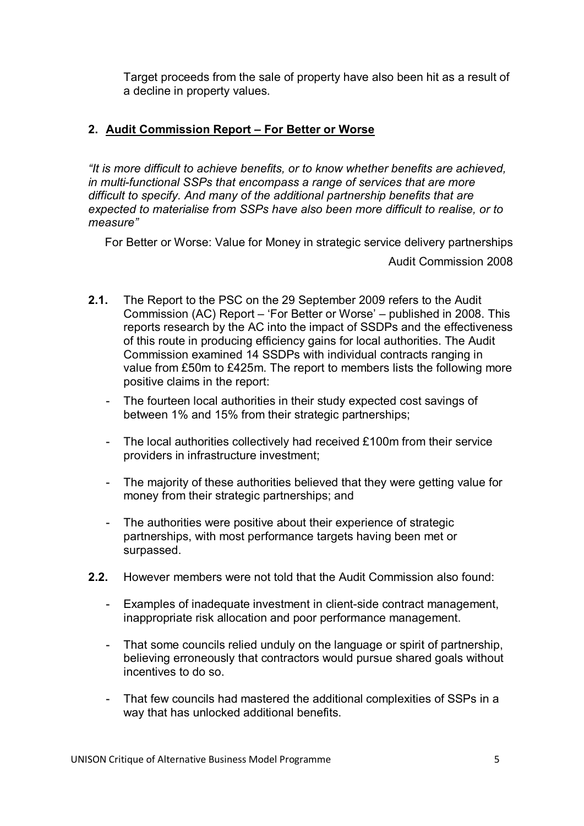Target proceeds from the sale of property have also been hit as a result of a decline in property values.

### **2. Audit Commission Report – For Better or Worse**

*"It is more difficult to achieve benefits, or to know whether benefits are achieved, in multi-functional SSPs that encompass a range of services that are more difficult to specify. And many of the additional partnership benefits that are expected to materialise from SSPs have also been more difficult to realise, or to measure"* 

For Better or Worse: Value for Money in strategic service delivery partnerships

Audit Commission 2008

- **2.1.** The Report to the PSC on the 29 September 2009 refers to the Audit Commission (AC) Report – 'For Better or Worse' – published in 2008. This reports research by the AC into the impact of SSDPs and the effectiveness of this route in producing efficiency gains for local authorities. The Audit Commission examined 14 SSDPs with individual contracts ranging in value from £50m to £425m. The report to members lists the following more positive claims in the report:
	- The fourteen local authorities in their study expected cost savings of between 1% and 15% from their strategic partnerships;
	- The local authorities collectively had received £100m from their service providers in infrastructure investment;
	- The majority of these authorities believed that they were getting value for money from their strategic partnerships; and
	- The authorities were positive about their experience of strategic partnerships, with most performance targets having been met or surpassed.
- **2.2.** However members were not told that the Audit Commission also found:
	- Examples of inadequate investment in client-side contract management, inappropriate risk allocation and poor performance management.
	- That some councils relied unduly on the language or spirit of partnership, believing erroneously that contractors would pursue shared goals without incentives to do so.
	- That few councils had mastered the additional complexities of SSPs in a way that has unlocked additional benefits.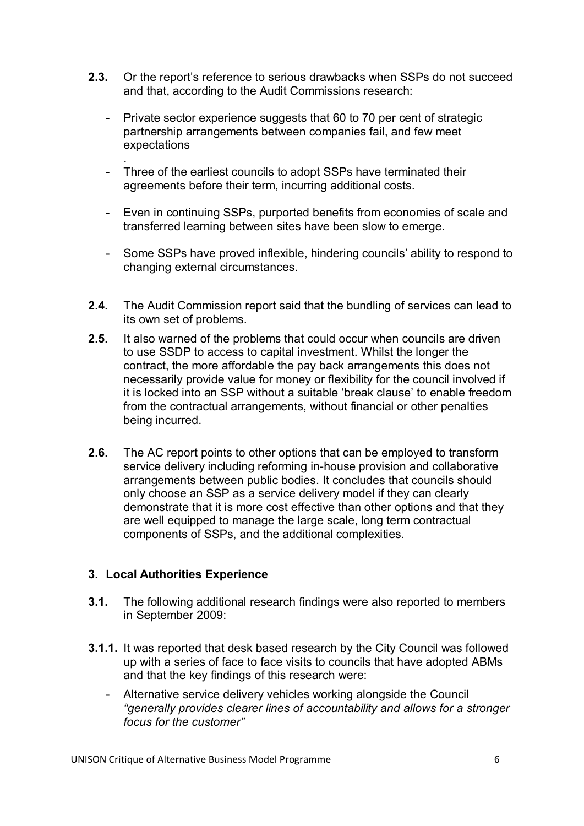- **2.3.** Or the report's reference to serious drawbacks when SSPs do not succeed and that, according to the Audit Commissions research:
	- Private sector experience suggests that 60 to 70 per cent of strategic partnership arrangements between companies fail, and few meet expectations
	- . - Three of the earliest councils to adopt SSPs have terminated their agreements before their term, incurring additional costs.
	- Even in continuing SSPs, purported benefits from economies of scale and transferred learning between sites have been slow to emerge.
	- Some SSPs have proved inflexible, hindering councils' ability to respond to changing external circumstances.
- **2.4.** The Audit Commission report said that the bundling of services can lead to its own set of problems.
- **2.5.** It also warned of the problems that could occur when councils are driven to use SSDP to access to capital investment. Whilst the longer the contract, the more affordable the pay back arrangements this does not necessarily provide value for money or flexibility for the council involved if it is locked into an SSP without a suitable 'break clause' to enable freedom from the contractual arrangements, without financial or other penalties being incurred.
- **2.6.** The AC report points to other options that can be employed to transform service delivery including reforming in-house provision and collaborative arrangements between public bodies. It concludes that councils should only choose an SSP as a service delivery model if they can clearly demonstrate that it is more cost effective than other options and that they are well equipped to manage the large scale, long term contractual components of SSPs, and the additional complexities.

#### **3. Local Authorities Experience**

- **3.1.** The following additional research findings were also reported to members in September 2009:
- **3.1.1.** It was reported that desk based research by the City Council was followed up with a series of face to face visits to councils that have adopted ABMs and that the key findings of this research were:
	- Alternative service delivery vehicles working alongside the Council *"generally provides clearer lines of accountability and allows for a stronger focus for the customer"*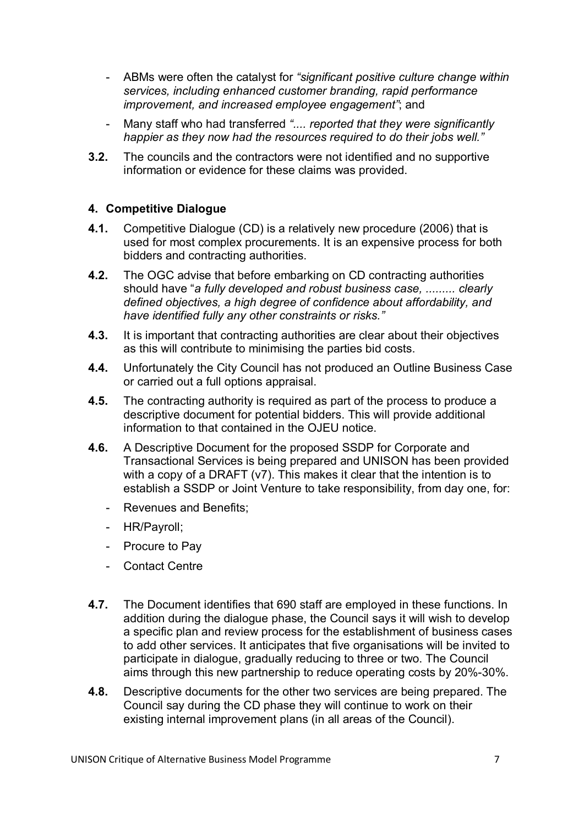- ABMs were often the catalyst for *"significant positive culture change within services, including enhanced customer branding, rapid performance improvement, and increased employee engagement"*; and
- Many staff who had transferred *".... reported that they were significantly happier as they now had the resources required to do their jobs well."*
- **3.2.** The councils and the contractors were not identified and no supportive information or evidence for these claims was provided.

### **4. Competitive Dialogue**

- **4.1.** Competitive Dialogue (CD) is a relatively new procedure (2006) that is used for most complex procurements. It is an expensive process for both bidders and contracting authorities.
- **4.2.** The OGC advise that before embarking on CD contracting authorities should have "*a fully developed and robust business case, ......... clearly defined objectives, a high degree of confidence about affordability, and have identified fully any other constraints or risks."*
- **4.3.** It is important that contracting authorities are clear about their objectives as this will contribute to minimising the parties bid costs.
- **4.4.** Unfortunately the City Council has not produced an Outline Business Case or carried out a full options appraisal.
- **4.5.** The contracting authority is required as part of the process to produce a descriptive document for potential bidders. This will provide additional information to that contained in the OJEU notice.
- **4.6.** A Descriptive Document for the proposed SSDP for Corporate and Transactional Services is being prepared and UNISON has been provided with a copy of a DRAFT (v7). This makes it clear that the intention is to establish a SSDP or Joint Venture to take responsibility, from day one, for:
	- Revenues and Benefits;
	- HR/Payroll;
	- Procure to Pay
	- Contact Centre
- **4.7.** The Document identifies that 690 staff are employed in these functions. In addition during the dialogue phase, the Council says it will wish to develop a specific plan and review process for the establishment of business cases to add other services. It anticipates that five organisations will be invited to participate in dialogue, gradually reducing to three or two. The Council aims through this new partnership to reduce operating costs by 20%-30%.
- **4.8.** Descriptive documents for the other two services are being prepared. The Council say during the CD phase they will continue to work on their existing internal improvement plans (in all areas of the Council).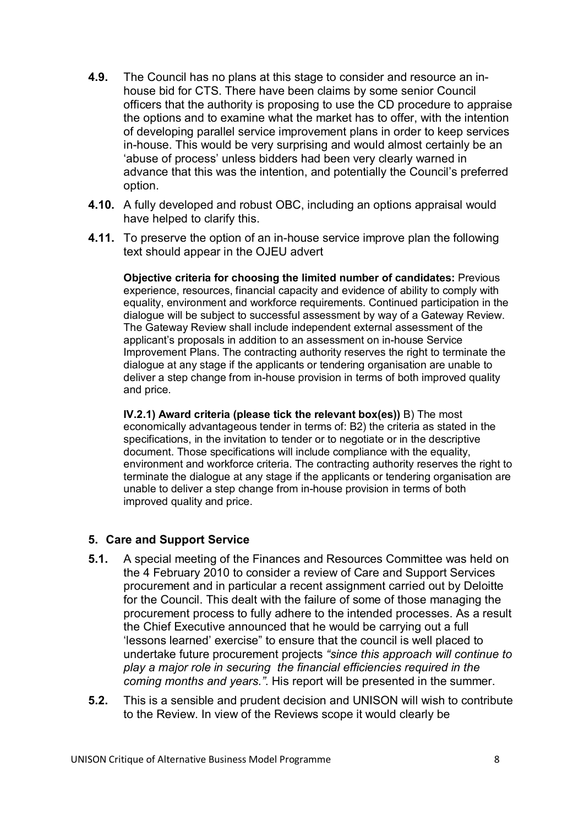- **4.9.** The Council has no plans at this stage to consider and resource an inhouse bid for CTS. There have been claims by some senior Council officers that the authority is proposing to use the CD procedure to appraise the options and to examine what the market has to offer, with the intention of developing parallel service improvement plans in order to keep services in-house. This would be very surprising and would almost certainly be an 'abuse of process' unless bidders had been very clearly warned in advance that this was the intention, and potentially the Council's preferred option.
- **4.10.** A fully developed and robust OBC, including an options appraisal would have helped to clarify this.
- **4.11.** To preserve the option of an in-house service improve plan the following text should appear in the OJEU advert

**Objective criteria for choosing the limited number of candidates:** Previous experience, resources, financial capacity and evidence of ability to comply with equality, environment and workforce requirements. Continued participation in the dialogue will be subject to successful assessment by way of a Gateway Review. The Gateway Review shall include independent external assessment of the applicant's proposals in addition to an assessment on in-house Service Improvement Plans. The contracting authority reserves the right to terminate the dialogue at any stage if the applicants or tendering organisation are unable to deliver a step change from in-house provision in terms of both improved quality and price.

**IV.2.1) Award criteria (please tick the relevant box(es))** B) The most economically advantageous tender in terms of: B2) the criteria as stated in the specifications, in the invitation to tender or to negotiate or in the descriptive document. Those specifications will include compliance with the equality, environment and workforce criteria. The contracting authority reserves the right to terminate the dialogue at any stage if the applicants or tendering organisation are unable to deliver a step change from in-house provision in terms of both improved quality and price.

#### **5. Care and Support Service**

- **5.1.** A special meeting of the Finances and Resources Committee was held on the 4 February 2010 to consider a review of Care and Support Services procurement and in particular a recent assignment carried out by Deloitte for the Council. This dealt with the failure of some of those managing the procurement process to fully adhere to the intended processes. As a result the Chief Executive announced that he would be carrying out a full 'lessons learned' exercise" to ensure that the council is well placed to undertake future procurement projects *"since this approach will continue to play a major role in securing the financial efficiencies required in the coming months and years."*. His report will be presented in the summer.
- **5.2.** This is a sensible and prudent decision and UNISON will wish to contribute to the Review. In view of the Reviews scope it would clearly be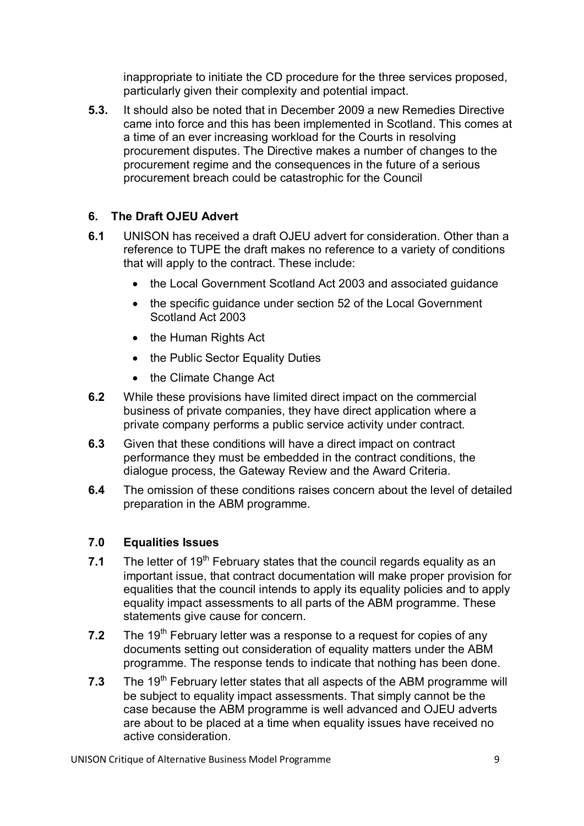inappropriate to initiate the CD procedure for the three services proposed, particularly given their complexity and potential impact.

**5.3.** It should also be noted that in December 2009 a new Remedies Directive came into force and this has been implemented in Scotland. This comes at a time of an ever increasing workload for the Courts in resolving procurement disputes. The Directive makes a number of changes to the procurement regime and the consequences in the future of a serious procurement breach could be catastrophic for the Council

# **6. The Draft OJEU Advert**

- **6.1** UNISON has received a draft OJEU advert for consideration. Other than a reference to TUPE the draft makes no reference to a variety of conditions that will apply to the contract. These include:
	- the Local Government Scotland Act 2003 and associated guidance
	- the specific guidance under section 52 of the Local Government Scotland Act 2003
	- the Human Rights Act
	- the Public Sector Equality Duties
	- the Climate Change Act
- **6.2** While these provisions have limited direct impact on the commercial business of private companies, they have direct application where a private company performs a public service activity under contract.
- **6.3** Given that these conditions will have a direct impact on contract performance they must be embedded in the contract conditions, the dialogue process, the Gateway Review and the Award Criteria.
- **6.4** The omission of these conditions raises concern about the level of detailed preparation in the ABM programme.

# **7.0 Equalities Issues**

- **7.1** The letter of 19<sup>th</sup> February states that the council regards equality as an important issue, that contract documentation will make proper provision for equalities that the council intends to apply its equality policies and to apply equality impact assessments to all parts of the ABM programme. These statements give cause for concern.
- **7.2** The 19<sup>th</sup> February letter was a response to a request for copies of any documents setting out consideration of equality matters under the ABM programme. The response tends to indicate that nothing has been done.
- **7.3** The 19<sup>th</sup> February letter states that all aspects of the ABM programme will be subject to equality impact assessments. That simply cannot be the case because the ABM programme is well advanced and OJEU adverts are about to be placed at a time when equality issues have received no active consideration.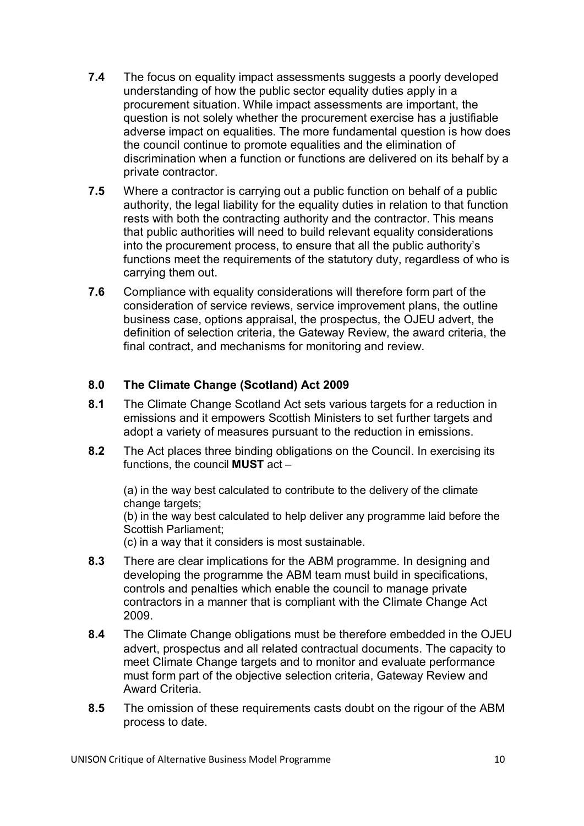- **7.4** The focus on equality impact assessments suggests a poorly developed understanding of how the public sector equality duties apply in a procurement situation. While impact assessments are important, the question is not solely whether the procurement exercise has a justifiable adverse impact on equalities. The more fundamental question is how does the council continue to promote equalities and the elimination of discrimination when a function or functions are delivered on its behalf by a private contractor.
- **7.5** Where a contractor is carrying out a public function on behalf of a public authority, the legal liability for the equality duties in relation to that function rests with both the contracting authority and the contractor. This means that public authorities will need to build relevant equality considerations into the procurement process, to ensure that all the public authority's functions meet the requirements of the statutory duty, regardless of who is carrying them out.
- **7.6** Compliance with equality considerations will therefore form part of the consideration of service reviews, service improvement plans, the outline business case, options appraisal, the prospectus, the OJEU advert, the definition of selection criteria, the Gateway Review, the award criteria, the final contract, and mechanisms for monitoring and review.

### **8.0 The Climate Change (Scotland) Act 2009**

- **8.1** The Climate Change Scotland Act sets various targets for a reduction in emissions and it empowers Scottish Ministers to set further targets and adopt a variety of measures pursuant to the reduction in emissions.
- **8.2** The Act places three binding obligations on the Council. In exercising its functions, the council **MUST** act –

(a) in the way best calculated to contribute to the delivery of the climate change targets:

(b) in the way best calculated to help deliver any programme laid before the Scottish Parliament;

(c) in a way that it considers is most sustainable.

- **8.3** There are clear implications for the ABM programme. In designing and developing the programme the ABM team must build in specifications, controls and penalties which enable the council to manage private contractors in a manner that is compliant with the Climate Change Act 2009.
- **8.4** The Climate Change obligations must be therefore embedded in the OJEU advert, prospectus and all related contractual documents. The capacity to meet Climate Change targets and to monitor and evaluate performance must form part of the objective selection criteria, Gateway Review and Award Criteria.
- **8.5** The omission of these requirements casts doubt on the rigour of the ABM process to date.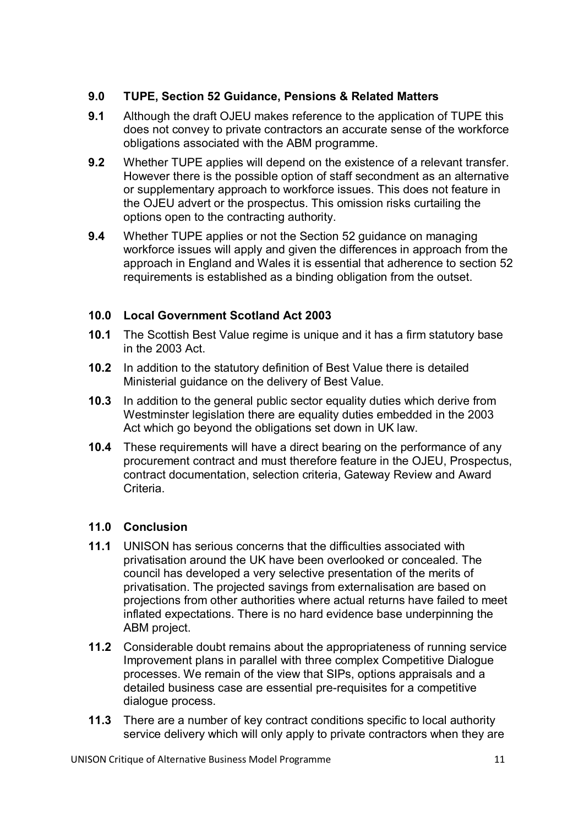# **9.0 TUPE, Section 52 Guidance, Pensions & Related Matters**

- **9.1** Although the draft OJEU makes reference to the application of TUPE this does not convey to private contractors an accurate sense of the workforce obligations associated with the ABM programme.
- **9.2** Whether TUPE applies will depend on the existence of a relevant transfer. However there is the possible option of staff secondment as an alternative or supplementary approach to workforce issues. This does not feature in the OJEU advert or the prospectus. This omission risks curtailing the options open to the contracting authority.
- **9.4** Whether TUPE applies or not the Section 52 quidance on managing workforce issues will apply and given the differences in approach from the approach in England and Wales it is essential that adherence to section 52 requirements is established as a binding obligation from the outset.

### **10.0 Local Government Scotland Act 2003**

- **10.1** The Scottish Best Value regime is unique and it has a firm statutory base in the 2003 Act.
- **10.2** In addition to the statutory definition of Best Value there is detailed Ministerial guidance on the delivery of Best Value.
- **10.3** In addition to the general public sector equality duties which derive from Westminster legislation there are equality duties embedded in the 2003 Act which go beyond the obligations set down in UK law.
- **10.4** These requirements will have a direct bearing on the performance of any procurement contract and must therefore feature in the OJEU, Prospectus, contract documentation, selection criteria, Gateway Review and Award Criteria.

### **11.0 Conclusion**

- **11.1** UNISON has serious concerns that the difficulties associated with privatisation around the UK have been overlooked or concealed. The council has developed a very selective presentation of the merits of privatisation. The projected savings from externalisation are based on projections from other authorities where actual returns have failed to meet inflated expectations. There is no hard evidence base underpinning the ABM project.
- **11.2** Considerable doubt remains about the appropriateness of running service Improvement plans in parallel with three complex Competitive Dialogue processes. We remain of the view that SIPs, options appraisals and a detailed business case are essential pre-requisites for a competitive dialogue process.
- **11.3** There are a number of key contract conditions specific to local authority service delivery which will only apply to private contractors when they are